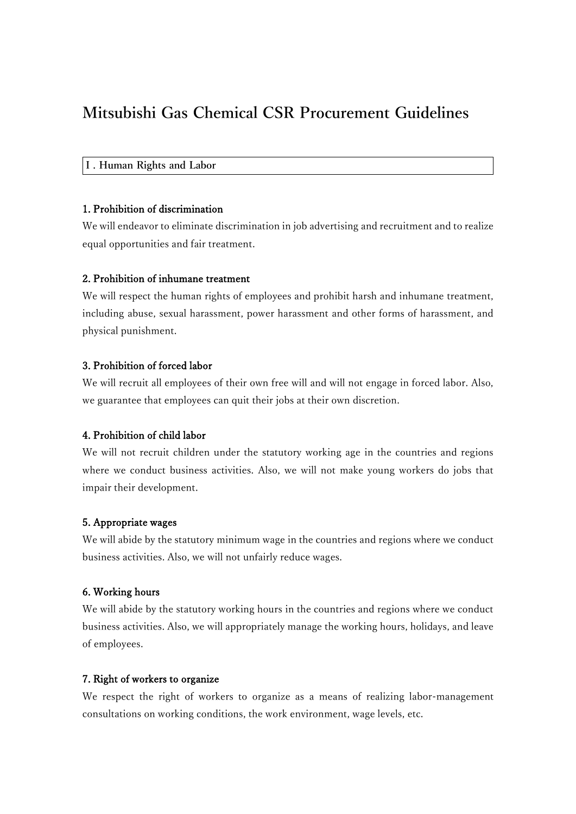# **Mitsubishi Gas Chemical CSR Procurement Guidelines**

# **Ⅰ. Human Rights and Labor**

# 1. Prohibition of discrimination

We will endeavor to eliminate discrimination in job advertising and recruitment and to realize equal opportunities and fair treatment.

#### 2. Prohibition of inhumane treatment

We will respect the human rights of employees and prohibit harsh and inhumane treatment, including abuse, sexual harassment, power harassment and other forms of harassment, and physical punishment.

# 3. Prohibition of forced labor

We will recruit all employees of their own free will and will not engage in forced labor. Also, we guarantee that employees can quit their jobs at their own discretion.

# 4. Prohibition of child labor

We will not recruit children under the statutory working age in the countries and regions where we conduct business activities. Also, we will not make young workers do jobs that impair their development.

# 5. Appropriate wages

We will abide by the statutory minimum wage in the countries and regions where we conduct business activities. Also, we will not unfairly reduce wages.

#### 6. Working hours

We will abide by the statutory working hours in the countries and regions where we conduct business activities. Also, we will appropriately manage the working hours, holidays, and leave of employees.

## 7. Right of workers to organize

We respect the right of workers to organize as a means of realizing labor-management consultations on working conditions, the work environment, wage levels, etc.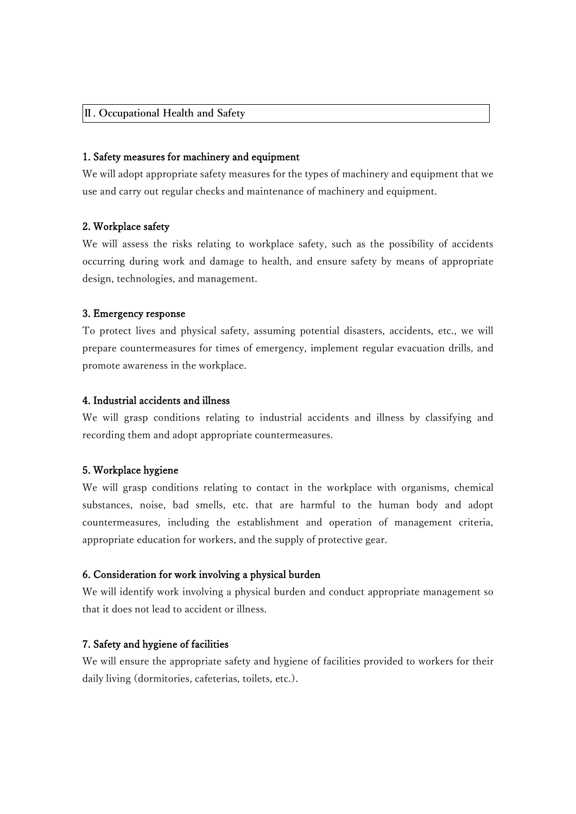## **Ⅱ. Occupational Health and Safety**

## 1. Safety measures for machinery and equipment

We will adopt appropriate safety measures for the types of machinery and equipment that we use and carry out regular checks and maintenance of machinery and equipment.

# 2. Workplace safety

We will assess the risks relating to workplace safety, such as the possibility of accidents occurring during work and damage to health, and ensure safety by means of appropriate design, technologies, and management.

## 3. Emergency response

To protect lives and physical safety, assuming potential disasters, accidents, etc., we will prepare countermeasures for times of emergency, implement regular evacuation drills, and promote awareness in the workplace.

# 4. Industrial accidents and illness

We will grasp conditions relating to industrial accidents and illness by classifying and recording them and adopt appropriate countermeasures.

## 5. Workplace hygiene

We will grasp conditions relating to contact in the workplace with organisms, chemical substances, noise, bad smells, etc. that are harmful to the human body and adopt countermeasures, including the establishment and operation of management criteria, appropriate education for workers, and the supply of protective gear.

## 6. Consideration for work involving a physical burden

We will identify work involving a physical burden and conduct appropriate management so that it does not lead to accident or illness.

## 7. Safety and hygiene of facilities

We will ensure the appropriate safety and hygiene of facilities provided to workers for their daily living (dormitories, cafeterias, toilets, etc.).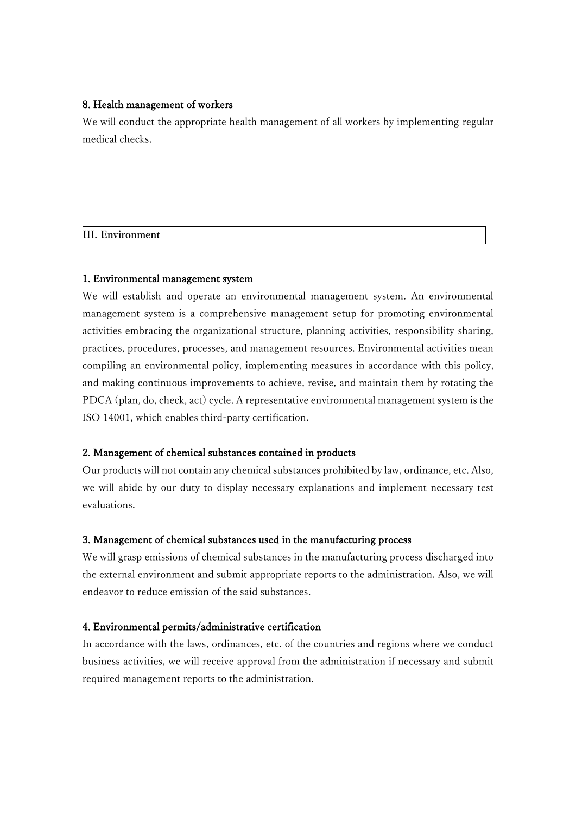## 8. Health management of workers

We will conduct the appropriate health management of all workers by implementing regular medical checks.

# **III. Environment**

# 1. Environmental management system

We will establish and operate an environmental management system. An environmental management system is a comprehensive management setup for promoting environmental activities embracing the organizational structure, planning activities, responsibility sharing, practices, procedures, processes, and management resources. Environmental activities mean compiling an environmental policy, implementing measures in accordance with this policy, and making continuous improvements to achieve, revise, and maintain them by rotating the PDCA (plan, do, check, act) cycle. A representative environmental management system is the ISO 14001, which enables third-party certification.

## 2. Management of chemical substances contained in products

Our products will not contain any chemical substances prohibited by law, ordinance, etc. Also, we will abide by our duty to display necessary explanations and implement necessary test evaluations.

## 3. Management of chemical substances used in the manufacturing process

We will grasp emissions of chemical substances in the manufacturing process discharged into the external environment and submit appropriate reports to the administration. Also, we will endeavor to reduce emission of the said substances.

## 4. Environmental permits/administrative certification

In accordance with the laws, ordinances, etc. of the countries and regions where we conduct business activities, we will receive approval from the administration if necessary and submit required management reports to the administration.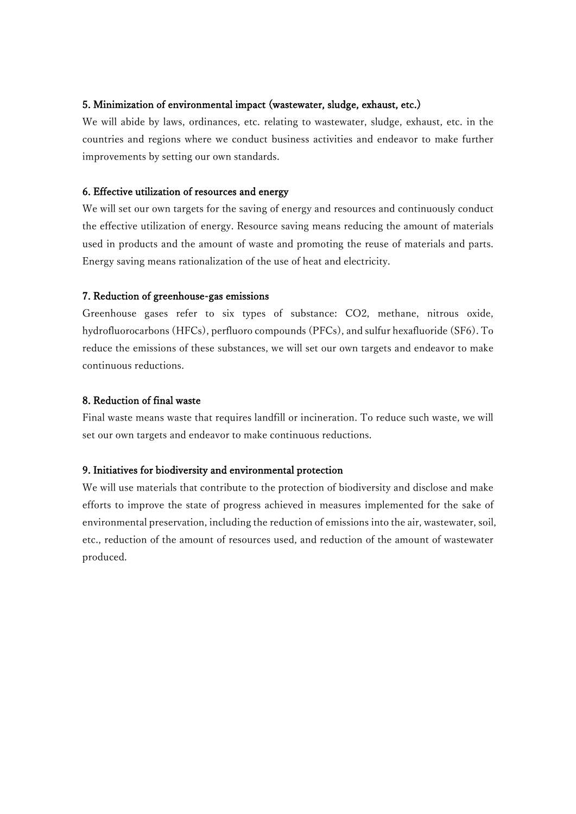# 5. Minimization of environmental impact (wastewater, sludge, exhaust, etc.)

We will abide by laws, ordinances, etc. relating to wastewater, sludge, exhaust, etc. in the countries and regions where we conduct business activities and endeavor to make further improvements by setting our own standards.

# 6. Effective utilization of resources and energy

We will set our own targets for the saving of energy and resources and continuously conduct the effective utilization of energy. Resource saving means reducing the amount of materials used in products and the amount of waste and promoting the reuse of materials and parts. Energy saving means rationalization of the use of heat and electricity.

# 7. Reduction of greenhouse-gas emissions

Greenhouse gases refer to six types of substance: CO2, methane, nitrous oxide, hydrofluorocarbons (HFCs), perfluoro compounds (PFCs), and sulfur hexafluoride (SF6). To reduce the emissions of these substances, we will set our own targets and endeavor to make continuous reductions.

# 8. Reduction of final waste

Final waste means waste that requires landfill or incineration. To reduce such waste, we will set our own targets and endeavor to make continuous reductions.

# 9. Initiatives for biodiversity and environmental protection

We will use materials that contribute to the protection of biodiversity and disclose and make efforts to improve the state of progress achieved in measures implemented for the sake of environmental preservation, including the reduction of emissions into the air, wastewater, soil, etc., reduction of the amount of resources used, and reduction of the amount of wastewater produced.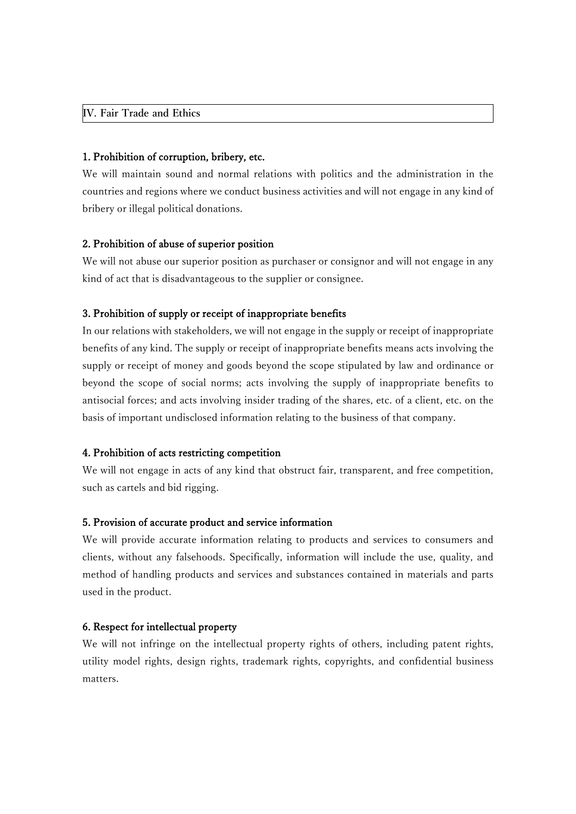#### **IV. Fair Trade and Ethics**

#### 1. Prohibition of corruption, bribery, etc.

We will maintain sound and normal relations with politics and the administration in the countries and regions where we conduct business activities and will not engage in any kind of bribery or illegal political donations.

#### 2. Prohibition of abuse of superior position

We will not abuse our superior position as purchaser or consignor and will not engage in any kind of act that is disadvantageous to the supplier or consignee.

## 3. Prohibition of supply or receipt of inappropriate benefits

In our relations with stakeholders, we will not engage in the supply or receipt of inappropriate benefits of any kind. The supply or receipt of inappropriate benefits means acts involving the supply or receipt of money and goods beyond the scope stipulated by law and ordinance or beyond the scope of social norms; acts involving the supply of inappropriate benefits to antisocial forces; and acts involving insider trading of the shares, etc. of a client, etc. on the basis of important undisclosed information relating to the business of that company.

## 4. Prohibition of acts restricting competition

We will not engage in acts of any kind that obstruct fair, transparent, and free competition, such as cartels and bid rigging.

## 5. Provision of accurate product and service information

We will provide accurate information relating to products and services to consumers and clients, without any falsehoods. Specifically, information will include the use, quality, and method of handling products and services and substances contained in materials and parts used in the product.

#### 6. Respect for intellectual property

We will not infringe on the intellectual property rights of others, including patent rights, utility model rights, design rights, trademark rights, copyrights, and confidential business matters.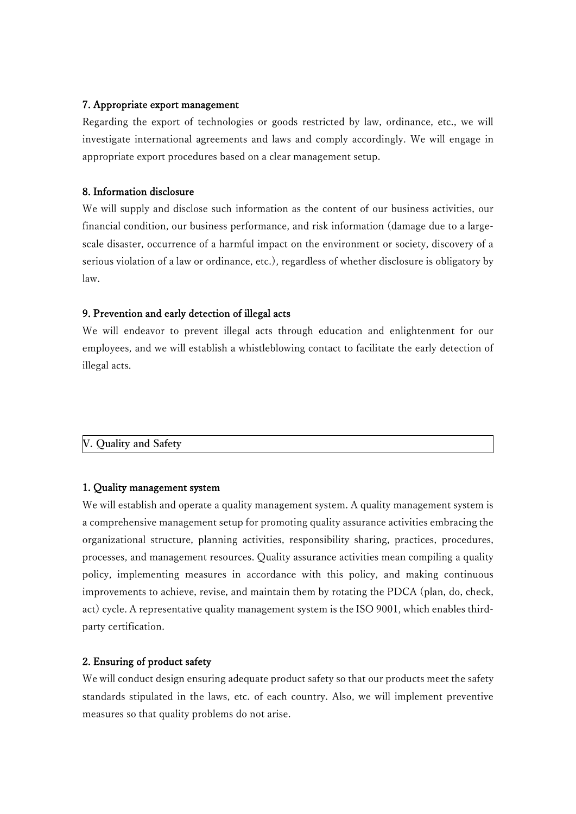# 7. Appropriate export management

Regarding the export of technologies or goods restricted by law, ordinance, etc., we will investigate international agreements and laws and comply accordingly. We will engage in appropriate export procedures based on a clear management setup.

# 8. Information disclosure

We will supply and disclose such information as the content of our business activities, our financial condition, our business performance, and risk information (damage due to a largescale disaster, occurrence of a harmful impact on the environment or society, discovery of a serious violation of a law or ordinance, etc.), regardless of whether disclosure is obligatory by law.

# 9. Prevention and early detection of illegal acts

We will endeavor to prevent illegal acts through education and enlightenment for our employees, and we will establish a whistleblowing contact to facilitate the early detection of illegal acts.

```
V. Quality and Safety
```
# 1. Quality management system

We will establish and operate a quality management system. A quality management system is a comprehensive management setup for promoting quality assurance activities embracing the organizational structure, planning activities, responsibility sharing, practices, procedures, processes, and management resources. Quality assurance activities mean compiling a quality policy, implementing measures in accordance with this policy, and making continuous improvements to achieve, revise, and maintain them by rotating the PDCA (plan, do, check, act) cycle. A representative quality management system is the ISO 9001, which enables thirdparty certification.

# 2. Ensuring of product safety

We will conduct design ensuring adequate product safety so that our products meet the safety standards stipulated in the laws, etc. of each country. Also, we will implement preventive measures so that quality problems do not arise.